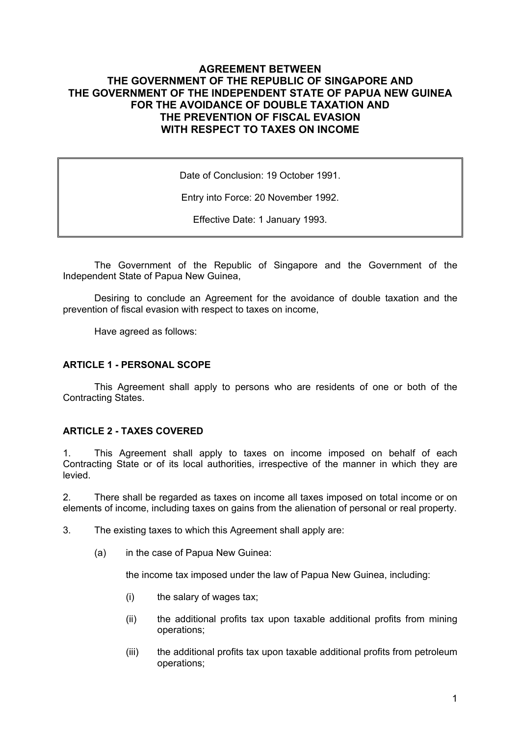## **AGREEMENT BETWEEN THE GOVERNMENT OF THE REPUBLIC OF SINGAPORE AND THE GOVERNMENT OF THE INDEPENDENT STATE OF PAPUA NEW GUINEA FOR THE AVOIDANCE OF DOUBLE TAXATION AND THE PREVENTION OF FISCAL EVASION WITH RESPECT TO TAXES ON INCOME**

Date of Conclusion: 19 October 1991.

Entry into Force: 20 November 1992.

Effective Date: 1 January 1993.

The Government of the Republic of Singapore and the Government of the Independent State of Papua New Guinea,

Desiring to conclude an Agreement for the avoidance of double taxation and the prevention of fiscal evasion with respect to taxes on income,

Have agreed as follows:

#### **ARTICLE 1 - PERSONAL SCOPE**

This Agreement shall apply to persons who are residents of one or both of the Contracting States.

### **ARTICLE 2 - TAXES COVERED**

1. This Agreement shall apply to taxes on income imposed on behalf of each Contracting State or of its local authorities, irrespective of the manner in which they are levied.

2. There shall be regarded as taxes on income all taxes imposed on total income or on elements of income, including taxes on gains from the alienation of personal or real property.

3. The existing taxes to which this Agreement shall apply are:

(a) in the case of Papua New Guinea:

the income tax imposed under the law of Papua New Guinea, including:

- (i) the salary of wages tax;
- (ii) the additional profits tax upon taxable additional profits from mining operations;
- (iii) the additional profits tax upon taxable additional profits from petroleum operations;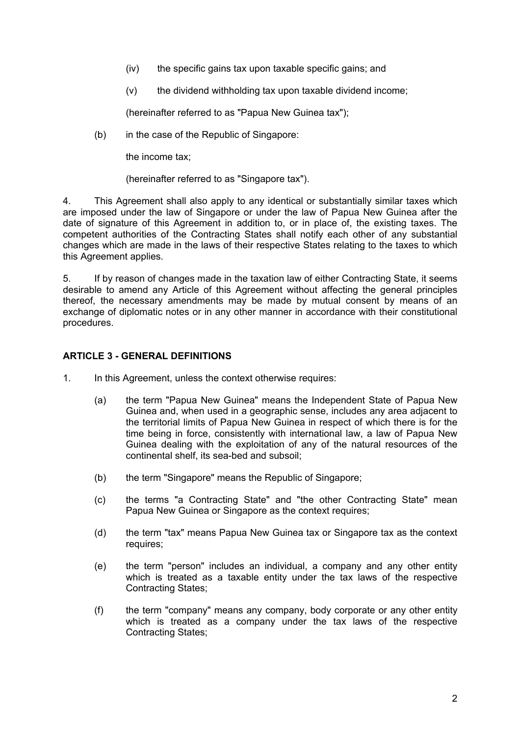- (iv) the specific gains tax upon taxable specific gains; and
- $(v)$  the dividend withholding tax upon taxable dividend income;

(hereinafter referred to as "Papua New Guinea tax");

(b) in the case of the Republic of Singapore:

the income tax;

(hereinafter referred to as "Singapore tax").

4. This Agreement shall also apply to any identical or substantially similar taxes which are imposed under the law of Singapore or under the law of Papua New Guinea after the date of signature of this Agreement in addition to, or in place of, the existing taxes. The competent authorities of the Contracting States shall notify each other of any substantial changes which are made in the laws of their respective States relating to the taxes to which this Agreement applies.

5. If by reason of changes made in the taxation law of either Contracting State, it seems desirable to amend any Article of this Agreement without affecting the general principles thereof, the necessary amendments may be made by mutual consent by means of an exchange of diplomatic notes or in any other manner in accordance with their constitutional procedures.

### **ARTICLE 3 - GENERAL DEFINITIONS**

- 1. In this Agreement, unless the context otherwise requires:
	- (a) the term "Papua New Guinea" means the Independent State of Papua New Guinea and, when used in a geographic sense, includes any area adjacent to the territorial limits of Papua New Guinea in respect of which there is for the time being in force, consistently with international law, a law of Papua New Guinea dealing with the exploitation of any of the natural resources of the continental shelf, its sea-bed and subsoil;
	- (b) the term "Singapore" means the Republic of Singapore;
	- (c) the terms "a Contracting State" and "the other Contracting State" mean Papua New Guinea or Singapore as the context requires;
	- (d) the term "tax" means Papua New Guinea tax or Singapore tax as the context requires;
	- (e) the term "person" includes an individual, a company and any other entity which is treated as a taxable entity under the tax laws of the respective Contracting States;
	- (f) the term "company" means any company, body corporate or any other entity which is treated as a company under the tax laws of the respective Contracting States;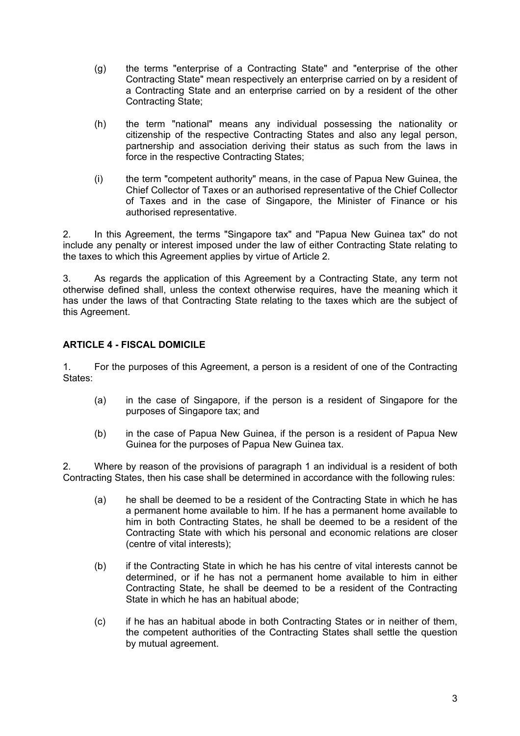- (g) the terms "enterprise of a Contracting State" and "enterprise of the other Contracting State" mean respectively an enterprise carried on by a resident of a Contracting State and an enterprise carried on by a resident of the other Contracting State;
- (h) the term "national" means any individual possessing the nationality or citizenship of the respective Contracting States and also any legal person, partnership and association deriving their status as such from the laws in force in the respective Contracting States;
- (i) the term "competent authority" means, in the case of Papua New Guinea, the Chief Collector of Taxes or an authorised representative of the Chief Collector of Taxes and in the case of Singapore, the Minister of Finance or his authorised representative.

2. In this Agreement, the terms "Singapore tax" and "Papua New Guinea tax" do not include any penalty or interest imposed under the law of either Contracting State relating to the taxes to which this Agreement applies by virtue of Article 2.

3. As regards the application of this Agreement by a Contracting State, any term not otherwise defined shall, unless the context otherwise requires, have the meaning which it has under the laws of that Contracting State relating to the taxes which are the subject of this Agreement.

## **ARTICLE 4 - FISCAL DOMICILE**

1. For the purposes of this Agreement, a person is a resident of one of the Contracting States:

- (a) in the case of Singapore, if the person is a resident of Singapore for the purposes of Singapore tax; and
- (b) in the case of Papua New Guinea, if the person is a resident of Papua New Guinea for the purposes of Papua New Guinea tax.

2. Where by reason of the provisions of paragraph 1 an individual is a resident of both Contracting States, then his case shall be determined in accordance with the following rules:

- (a) he shall be deemed to be a resident of the Contracting State in which he has a permanent home available to him. If he has a permanent home available to him in both Contracting States, he shall be deemed to be a resident of the Contracting State with which his personal and economic relations are closer (centre of vital interests);
- (b) if the Contracting State in which he has his centre of vital interests cannot be determined, or if he has not a permanent home available to him in either Contracting State, he shall be deemed to be a resident of the Contracting State in which he has an habitual abode;
- (c) if he has an habitual abode in both Contracting States or in neither of them, the competent authorities of the Contracting States shall settle the question by mutual agreement.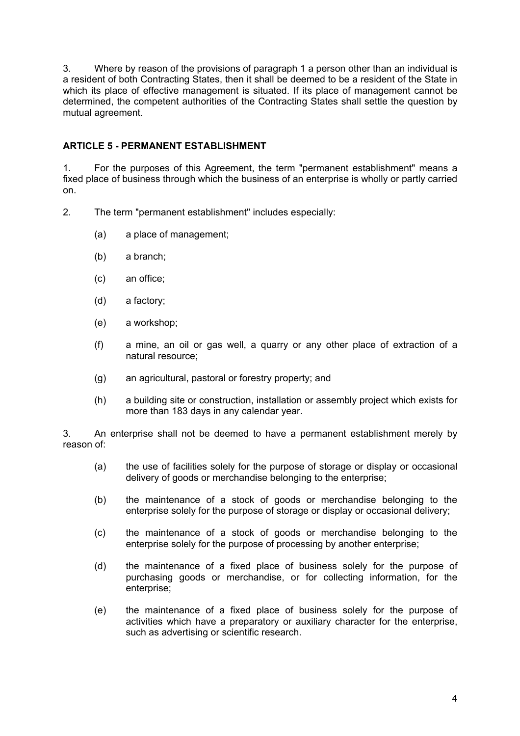3. Where by reason of the provisions of paragraph 1 a person other than an individual is a resident of both Contracting States, then it shall be deemed to be a resident of the State in which its place of effective management is situated. If its place of management cannot be determined, the competent authorities of the Contracting States shall settle the question by mutual agreement.

## **ARTICLE 5 - PERMANENT ESTABLISHMENT**

1. For the purposes of this Agreement, the term "permanent establishment" means a fixed place of business through which the business of an enterprise is wholly or partly carried on.

- 2. The term "permanent establishment" includes especially:
	- (a) a place of management;
	- (b) a branch;
	- (c) an office;
	- (d) a factory;
	- (e) a workshop;
	- (f) a mine, an oil or gas well, a quarry or any other place of extraction of a natural resource;
	- (g) an agricultural, pastoral or forestry property; and
	- (h) a building site or construction, installation or assembly project which exists for more than 183 days in any calendar year.

3. An enterprise shall not be deemed to have a permanent establishment merely by reason of:

- (a) the use of facilities solely for the purpose of storage or display or occasional delivery of goods or merchandise belonging to the enterprise;
- (b) the maintenance of a stock of goods or merchandise belonging to the enterprise solely for the purpose of storage or display or occasional delivery;
- (c) the maintenance of a stock of goods or merchandise belonging to the enterprise solely for the purpose of processing by another enterprise;
- (d) the maintenance of a fixed place of business solely for the purpose of purchasing goods or merchandise, or for collecting information, for the enterprise;
- (e) the maintenance of a fixed place of business solely for the purpose of activities which have a preparatory or auxiliary character for the enterprise, such as advertising or scientific research.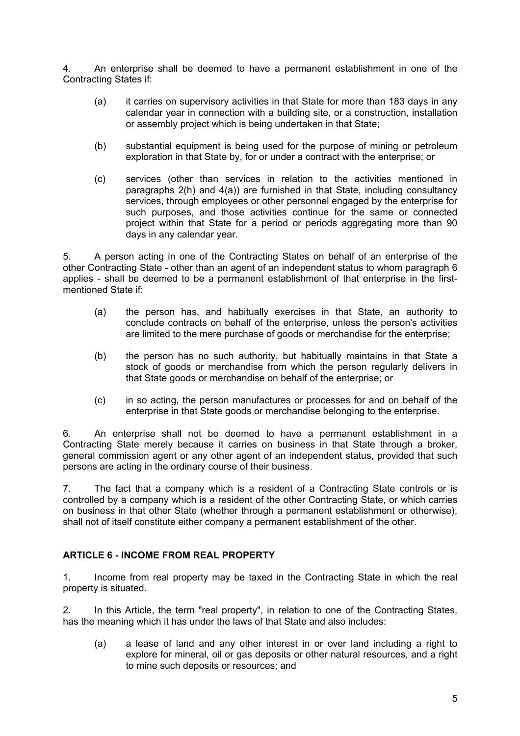4. An enterprise shall be deemed to have a permanent establishment in one of the Contracting States if:

- (a) it carries on supervisory activities in that State for more than 183 days in any calendar year in connection with a building site, or a construction, installation or assembly project which is being undertaken in that State;
- (b) substantial equipment is being used for the purpose of mining or petroleum exploration in that State by, for or under a contract with the enterprise; or
- (c) services (other than services in relation to the activities mentioned in paragraphs 2(h) and 4(a)) are furnished in that State, including consultancy services, through employees or other personnel engaged by the enterprise for such purposes, and those activities continue for the same or connected project within that State for a period or periods aggregating more than 90 days in any calendar year.

5. A person acting in one of the Contracting States on behalf of an enterprise of the other Contracting State - other than an agent of an independent status to whom paragraph 6 applies - shall be deemed to be a permanent establishment of that enterprise in the firstmentioned State if:

- (a) the person has, and habitually exercises in that State, an authority to conclude contracts on behalf of the enterprise, unless the person's activities are limited to the mere purchase of goods or merchandise for the enterprise;
- (b) the person has no such authority, but habitually maintains in that State a stock of goods or merchandise from which the person regularly delivers in that State goods or merchandise on behalf of the enterprise; or
- (c) in so acting, the person manufactures or processes for and on behalf of the enterprise in that State goods or merchandise belonging to the enterprise.

6. An enterprise shall not be deemed to have a permanent establishment in a Contracting State merely because it carries on business in that State through a broker, general commission agent or any other agent of an independent status, provided that such persons are acting in the ordinary course of their business.

7. The fact that a company which is a resident of a Contracting State controls or is controlled by a company which is a resident of the other Contracting State, or which carries on business in that other State (whether through a permanent establishment or otherwise), shall not of itself constitute either company a permanent establishment of the other.

## **ARTICLE 6 - INCOME FROM REAL PROPERTY**

1. Income from real property may be taxed in the Contracting State in which the real property is situated.

2. In this Article, the term "real property", in relation to one of the Contracting States, has the meaning which it has under the laws of that State and also includes:

(a) a lease of land and any other interest in or over land including a right to explore for mineral, oil or gas deposits or other natural resources, and a right to mine such deposits or resources; and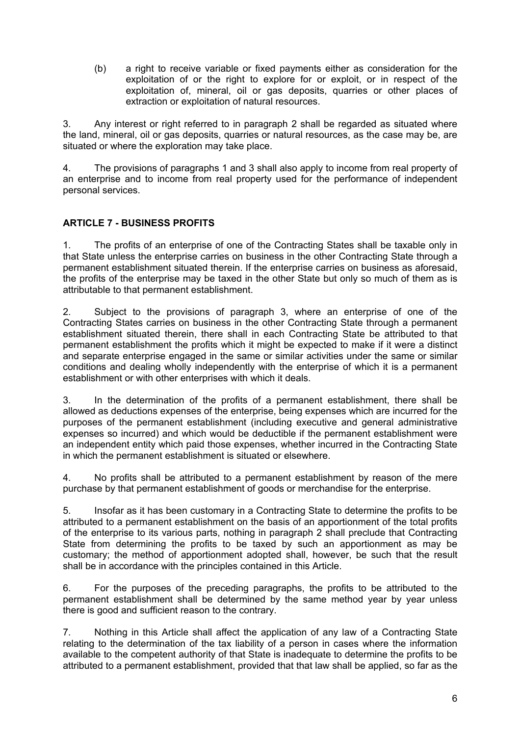(b) a right to receive variable or fixed payments either as consideration for the exploitation of or the right to explore for or exploit, or in respect of the exploitation of, mineral, oil or gas deposits, quarries or other places of extraction or exploitation of natural resources.

3. Any interest or right referred to in paragraph 2 shall be regarded as situated where the land, mineral, oil or gas deposits, quarries or natural resources, as the case may be, are situated or where the exploration may take place.

4. The provisions of paragraphs 1 and 3 shall also apply to income from real property of an enterprise and to income from real property used for the performance of independent personal services.

# **ARTICLE 7 - BUSINESS PROFITS**

1. The profits of an enterprise of one of the Contracting States shall be taxable only in that State unless the enterprise carries on business in the other Contracting State through a permanent establishment situated therein. If the enterprise carries on business as aforesaid, the profits of the enterprise may be taxed in the other State but only so much of them as is attributable to that permanent establishment.

2. Subject to the provisions of paragraph 3, where an enterprise of one of the Contracting States carries on business in the other Contracting State through a permanent establishment situated therein, there shall in each Contracting State be attributed to that permanent establishment the profits which it might be expected to make if it were a distinct and separate enterprise engaged in the same or similar activities under the same or similar conditions and dealing wholly independently with the enterprise of which it is a permanent establishment or with other enterprises with which it deals.

3. In the determination of the profits of a permanent establishment, there shall be allowed as deductions expenses of the enterprise, being expenses which are incurred for the purposes of the permanent establishment (including executive and general administrative expenses so incurred) and which would be deductible if the permanent establishment were an independent entity which paid those expenses, whether incurred in the Contracting State in which the permanent establishment is situated or elsewhere.

4. No profits shall be attributed to a permanent establishment by reason of the mere purchase by that permanent establishment of goods or merchandise for the enterprise.

5. Insofar as it has been customary in a Contracting State to determine the profits to be attributed to a permanent establishment on the basis of an apportionment of the total profits of the enterprise to its various parts, nothing in paragraph 2 shall preclude that Contracting State from determining the profits to be taxed by such an apportionment as may be customary; the method of apportionment adopted shall, however, be such that the result shall be in accordance with the principles contained in this Article.

6. For the purposes of the preceding paragraphs, the profits to be attributed to the permanent establishment shall be determined by the same method year by year unless there is good and sufficient reason to the contrary.

7. Nothing in this Article shall affect the application of any law of a Contracting State relating to the determination of the tax liability of a person in cases where the information available to the competent authority of that State is inadequate to determine the profits to be attributed to a permanent establishment, provided that that law shall be applied, so far as the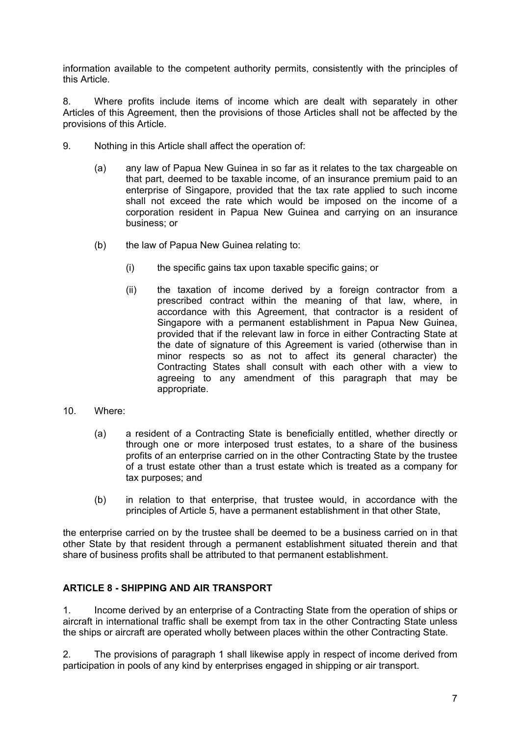information available to the competent authority permits, consistently with the principles of this Article.

8. Where profits include items of income which are dealt with separately in other Articles of this Agreement, then the provisions of those Articles shall not be affected by the provisions of this Article.

- 9. Nothing in this Article shall affect the operation of:
	- (a) any law of Papua New Guinea in so far as it relates to the tax chargeable on that part, deemed to be taxable income, of an insurance premium paid to an enterprise of Singapore, provided that the tax rate applied to such income shall not exceed the rate which would be imposed on the income of a corporation resident in Papua New Guinea and carrying on an insurance business; or
	- (b) the law of Papua New Guinea relating to:
		- (i) the specific gains tax upon taxable specific gains; or
		- (ii) the taxation of income derived by a foreign contractor from a prescribed contract within the meaning of that law, where, in accordance with this Agreement, that contractor is a resident of Singapore with a permanent establishment in Papua New Guinea, provided that if the relevant law in force in either Contracting State at the date of signature of this Agreement is varied (otherwise than in minor respects so as not to affect its general character) the Contracting States shall consult with each other with a view to agreeing to any amendment of this paragraph that may be appropriate.
- 10. Where:
	- (a) a resident of a Contracting State is beneficially entitled, whether directly or through one or more interposed trust estates, to a share of the business profits of an enterprise carried on in the other Contracting State by the trustee of a trust estate other than a trust estate which is treated as a company for tax purposes; and
	- (b) in relation to that enterprise, that trustee would, in accordance with the principles of Article 5, have a permanent establishment in that other State,

the enterprise carried on by the trustee shall be deemed to be a business carried on in that other State by that resident through a permanent establishment situated therein and that share of business profits shall be attributed to that permanent establishment.

## **ARTICLE 8 - SHIPPING AND AIR TRANSPORT**

1. Income derived by an enterprise of a Contracting State from the operation of ships or aircraft in international traffic shall be exempt from tax in the other Contracting State unless the ships or aircraft are operated wholly between places within the other Contracting State.

2. The provisions of paragraph 1 shall likewise apply in respect of income derived from participation in pools of any kind by enterprises engaged in shipping or air transport.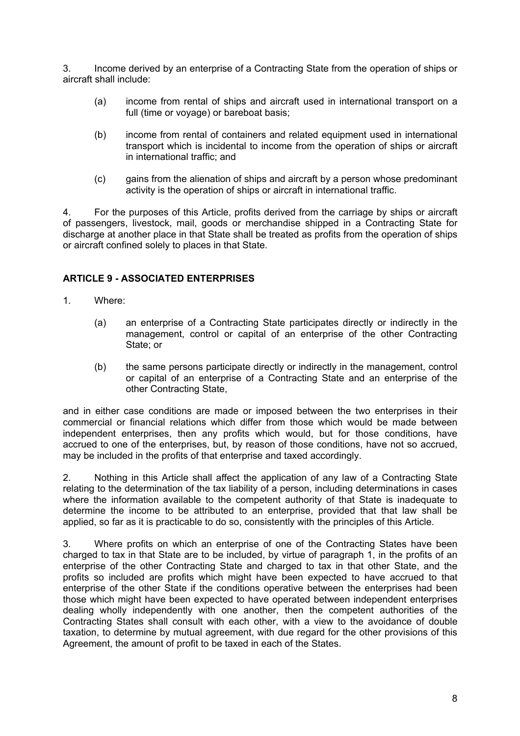3. Income derived by an enterprise of a Contracting State from the operation of ships or aircraft shall include:

- (a) income from rental of ships and aircraft used in international transport on a full (time or voyage) or bareboat basis;
- (b) income from rental of containers and related equipment used in international transport which is incidental to income from the operation of ships or aircraft in international traffic; and
- (c) gains from the alienation of ships and aircraft by a person whose predominant activity is the operation of ships or aircraft in international traffic.

4. For the purposes of this Article, profits derived from the carriage by ships or aircraft of passengers, livestock, mail, goods or merchandise shipped in a Contracting State for discharge at another place in that State shall be treated as profits from the operation of ships or aircraft confined solely to places in that State.

### **ARTICLE 9 - ASSOCIATED ENTERPRISES**

- 1. Where:
	- (a) an enterprise of a Contracting State participates directly or indirectly in the management, control or capital of an enterprise of the other Contracting State; or
	- (b) the same persons participate directly or indirectly in the management, control or capital of an enterprise of a Contracting State and an enterprise of the other Contracting State,

and in either case conditions are made or imposed between the two enterprises in their commercial or financial relations which differ from those which would be made between independent enterprises, then any profits which would, but for those conditions, have accrued to one of the enterprises, but, by reason of those conditions, have not so accrued, may be included in the profits of that enterprise and taxed accordingly.

2. Nothing in this Article shall affect the application of any law of a Contracting State relating to the determination of the tax liability of a person, including determinations in cases where the information available to the competent authority of that State is inadequate to determine the income to be attributed to an enterprise, provided that that law shall be applied, so far as it is practicable to do so, consistently with the principles of this Article.

3. Where profits on which an enterprise of one of the Contracting States have been charged to tax in that State are to be included, by virtue of paragraph 1, in the profits of an enterprise of the other Contracting State and charged to tax in that other State, and the profits so included are profits which might have been expected to have accrued to that enterprise of the other State if the conditions operative between the enterprises had been those which might have been expected to have operated between independent enterprises dealing wholly independently with one another, then the competent authorities of the Contracting States shall consult with each other, with a view to the avoidance of double taxation, to determine by mutual agreement, with due regard for the other provisions of this Agreement, the amount of profit to be taxed in each of the States.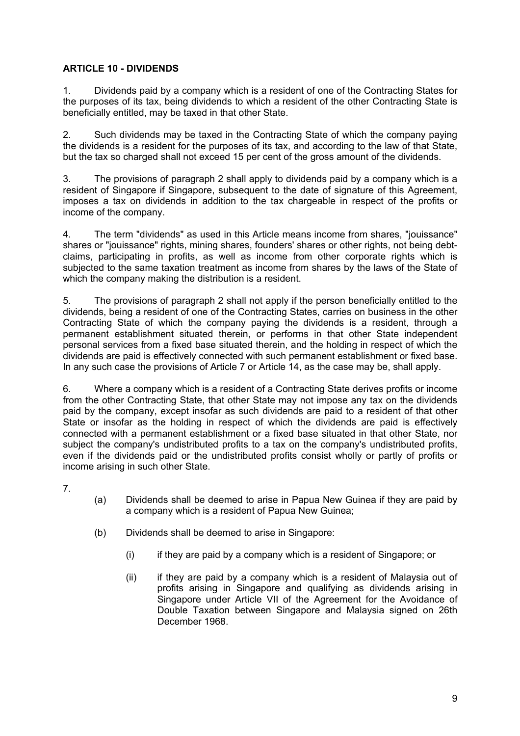## **ARTICLE 10 - DIVIDENDS**

1. Dividends paid by a company which is a resident of one of the Contracting States for the purposes of its tax, being dividends to which a resident of the other Contracting State is beneficially entitled, may be taxed in that other State.

2. Such dividends may be taxed in the Contracting State of which the company paying the dividends is a resident for the purposes of its tax, and according to the law of that State, but the tax so charged shall not exceed 15 per cent of the gross amount of the dividends.

3. The provisions of paragraph 2 shall apply to dividends paid by a company which is a resident of Singapore if Singapore, subsequent to the date of signature of this Agreement, imposes a tax on dividends in addition to the tax chargeable in respect of the profits or income of the company.

4. The term "dividends" as used in this Article means income from shares, "jouissance" shares or "jouissance" rights, mining shares, founders' shares or other rights, not being debtclaims, participating in profits, as well as income from other corporate rights which is subjected to the same taxation treatment as income from shares by the laws of the State of which the company making the distribution is a resident.

5. The provisions of paragraph 2 shall not apply if the person beneficially entitled to the dividends, being a resident of one of the Contracting States, carries on business in the other Contracting State of which the company paying the dividends is a resident, through a permanent establishment situated therein, or performs in that other State independent personal services from a fixed base situated therein, and the holding in respect of which the dividends are paid is effectively connected with such permanent establishment or fixed base. In any such case the provisions of Article 7 or Article 14, as the case may be, shall apply.

6. Where a company which is a resident of a Contracting State derives profits or income from the other Contracting State, that other State may not impose any tax on the dividends paid by the company, except insofar as such dividends are paid to a resident of that other State or insofar as the holding in respect of which the dividends are paid is effectively connected with a permanent establishment or a fixed base situated in that other State, nor subject the company's undistributed profits to a tax on the company's undistributed profits, even if the dividends paid or the undistributed profits consist wholly or partly of profits or income arising in such other State.

7.

- (a) Dividends shall be deemed to arise in Papua New Guinea if they are paid by a company which is a resident of Papua New Guinea;
- (b) Dividends shall be deemed to arise in Singapore:
	- (i) if they are paid by a company which is a resident of Singapore; or
	- (ii) if they are paid by a company which is a resident of Malaysia out of profits arising in Singapore and qualifying as dividends arising in Singapore under Article VII of the Agreement for the Avoidance of Double Taxation between Singapore and Malaysia signed on 26th December 1968.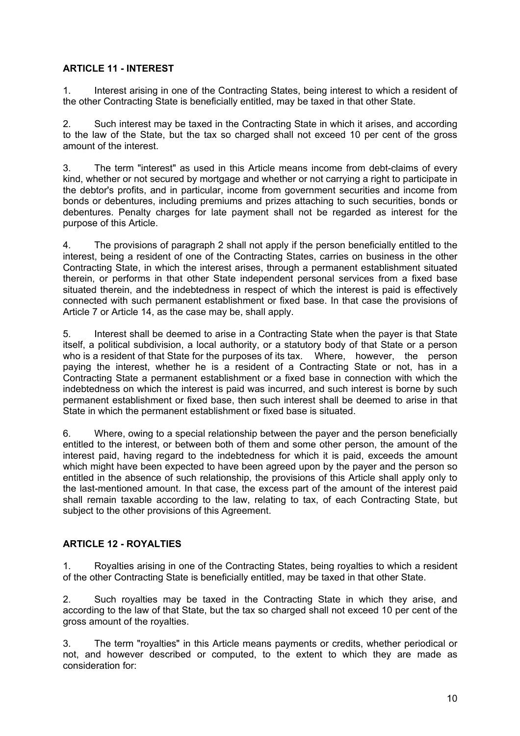## **ARTICLE 11 - INTEREST**

1. Interest arising in one of the Contracting States, being interest to which a resident of the other Contracting State is beneficially entitled, may be taxed in that other State.

2. Such interest may be taxed in the Contracting State in which it arises, and according to the law of the State, but the tax so charged shall not exceed 10 per cent of the gross amount of the interest.

3. The term "interest" as used in this Article means income from debt-claims of every kind, whether or not secured by mortgage and whether or not carrying a right to participate in the debtor's profits, and in particular, income from government securities and income from bonds or debentures, including premiums and prizes attaching to such securities, bonds or debentures. Penalty charges for late payment shall not be regarded as interest for the purpose of this Article.

4. The provisions of paragraph 2 shall not apply if the person beneficially entitled to the interest, being a resident of one of the Contracting States, carries on business in the other Contracting State, in which the interest arises, through a permanent establishment situated therein, or performs in that other State independent personal services from a fixed base situated therein, and the indebtedness in respect of which the interest is paid is effectively connected with such permanent establishment or fixed base. In that case the provisions of Article 7 or Article 14, as the case may be, shall apply.

5. Interest shall be deemed to arise in a Contracting State when the payer is that State itself, a political subdivision, a local authority, or a statutory body of that State or a person who is a resident of that State for the purposes of its tax. Where, however, the person paying the interest, whether he is a resident of a Contracting State or not, has in a Contracting State a permanent establishment or a fixed base in connection with which the indebtedness on which the interest is paid was incurred, and such interest is borne by such permanent establishment or fixed base, then such interest shall be deemed to arise in that State in which the permanent establishment or fixed base is situated.

6. Where, owing to a special relationship between the payer and the person beneficially entitled to the interest, or between both of them and some other person, the amount of the interest paid, having regard to the indebtedness for which it is paid, exceeds the amount which might have been expected to have been agreed upon by the payer and the person so entitled in the absence of such relationship, the provisions of this Article shall apply only to the last-mentioned amount. In that case, the excess part of the amount of the interest paid shall remain taxable according to the law, relating to tax, of each Contracting State, but subject to the other provisions of this Agreement.

## **ARTICLE 12 - ROYALTIES**

1. Royalties arising in one of the Contracting States, being royalties to which a resident of the other Contracting State is beneficially entitled, may be taxed in that other State.

2. Such royalties may be taxed in the Contracting State in which they arise, and according to the law of that State, but the tax so charged shall not exceed 10 per cent of the gross amount of the royalties.

3. The term "royalties" in this Article means payments or credits, whether periodical or not, and however described or computed, to the extent to which they are made as consideration for: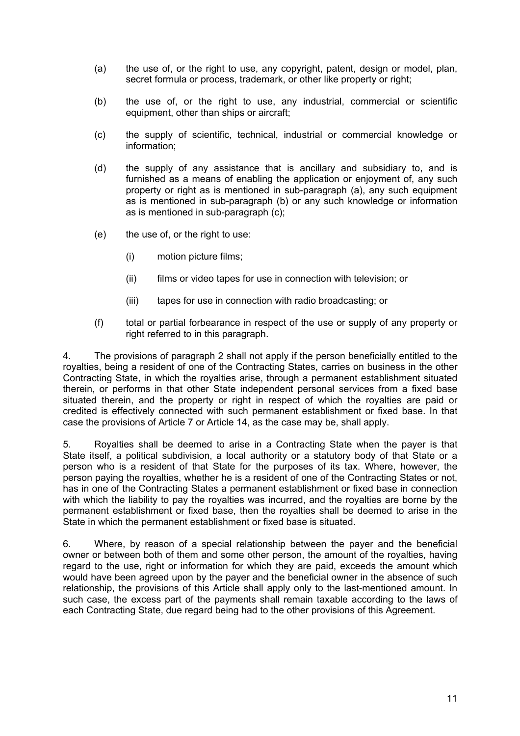- (a) the use of, or the right to use, any copyright, patent, design or model, plan, secret formula or process, trademark, or other like property or right;
- (b) the use of, or the right to use, any industrial, commercial or scientific equipment, other than ships or aircraft;
- (c) the supply of scientific, technical, industrial or commercial knowledge or information;
- (d) the supply of any assistance that is ancillary and subsidiary to, and is furnished as a means of enabling the application or enjoyment of, any such property or right as is mentioned in sub-paragraph (a), any such equipment as is mentioned in sub-paragraph (b) or any such knowledge or information as is mentioned in sub-paragraph (c);
- (e) the use of, or the right to use:
	- (i) motion picture films;
	- (ii) films or video tapes for use in connection with television; or
	- (iii) tapes for use in connection with radio broadcasting; or
- (f) total or partial forbearance in respect of the use or supply of any property or right referred to in this paragraph.

4. The provisions of paragraph 2 shall not apply if the person beneficially entitled to the royalties, being a resident of one of the Contracting States, carries on business in the other Contracting State, in which the royalties arise, through a permanent establishment situated therein, or performs in that other State independent personal services from a fixed base situated therein, and the property or right in respect of which the royalties are paid or credited is effectively connected with such permanent establishment or fixed base. In that case the provisions of Article 7 or Article 14, as the case may be, shall apply.

5. Royalties shall be deemed to arise in a Contracting State when the payer is that State itself, a political subdivision, a local authority or a statutory body of that State or a person who is a resident of that State for the purposes of its tax. Where, however, the person paying the royalties, whether he is a resident of one of the Contracting States or not, has in one of the Contracting States a permanent establishment or fixed base in connection with which the liability to pay the royalties was incurred, and the royalties are borne by the permanent establishment or fixed base, then the royalties shall be deemed to arise in the State in which the permanent establishment or fixed base is situated.

6. Where, by reason of a special relationship between the payer and the beneficial owner or between both of them and some other person, the amount of the royalties, having regard to the use, right or information for which they are paid, exceeds the amount which would have been agreed upon by the payer and the beneficial owner in the absence of such relationship, the provisions of this Article shall apply only to the last-mentioned amount. In such case, the excess part of the payments shall remain taxable according to the laws of each Contracting State, due regard being had to the other provisions of this Agreement.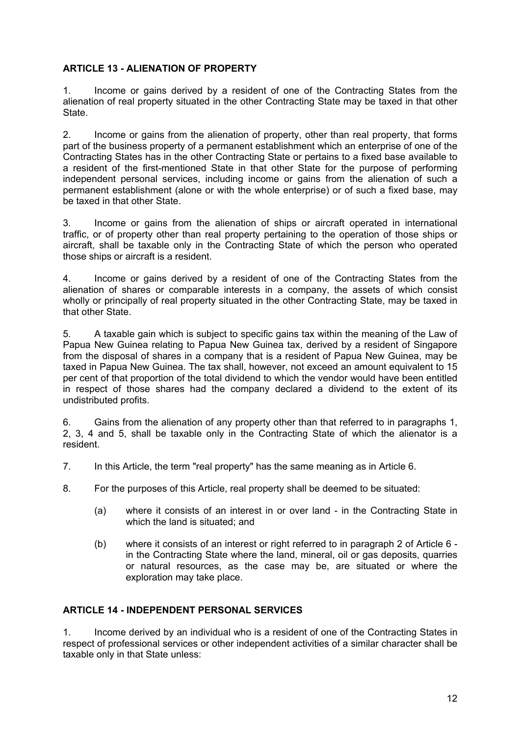### **ARTICLE 13 - ALIENATION OF PROPERTY**

1. Income or gains derived by a resident of one of the Contracting States from the alienation of real property situated in the other Contracting State may be taxed in that other **State.** 

2. Income or gains from the alienation of property, other than real property, that forms part of the business property of a permanent establishment which an enterprise of one of the Contracting States has in the other Contracting State or pertains to a fixed base available to a resident of the first-mentioned State in that other State for the purpose of performing independent personal services, including income or gains from the alienation of such a permanent establishment (alone or with the whole enterprise) or of such a fixed base, may be taxed in that other State.

3. Income or gains from the alienation of ships or aircraft operated in international traffic, or of property other than real property pertaining to the operation of those ships or aircraft, shall be taxable only in the Contracting State of which the person who operated those ships or aircraft is a resident.

4. Income or gains derived by a resident of one of the Contracting States from the alienation of shares or comparable interests in a company, the assets of which consist wholly or principally of real property situated in the other Contracting State, may be taxed in that other State.

5. A taxable gain which is subject to specific gains tax within the meaning of the Law of Papua New Guinea relating to Papua New Guinea tax, derived by a resident of Singapore from the disposal of shares in a company that is a resident of Papua New Guinea, may be taxed in Papua New Guinea. The tax shall, however, not exceed an amount equivalent to 15 per cent of that proportion of the total dividend to which the vendor would have been entitled in respect of those shares had the company declared a dividend to the extent of its undistributed profits.

6. Gains from the alienation of any property other than that referred to in paragraphs 1, 2, 3, 4 and 5, shall be taxable only in the Contracting State of which the alienator is a resident.

- 7. In this Article, the term "real property" has the same meaning as in Article 6.
- 8. For the purposes of this Article, real property shall be deemed to be situated:
	- (a) where it consists of an interest in or over land in the Contracting State in which the land is situated; and
	- (b) where it consists of an interest or right referred to in paragraph 2 of Article 6 in the Contracting State where the land, mineral, oil or gas deposits, quarries or natural resources, as the case may be, are situated or where the exploration may take place.

### **ARTICLE 14 - INDEPENDENT PERSONAL SERVICES**

1. Income derived by an individual who is a resident of one of the Contracting States in respect of professional services or other independent activities of a similar character shall be taxable only in that State unless: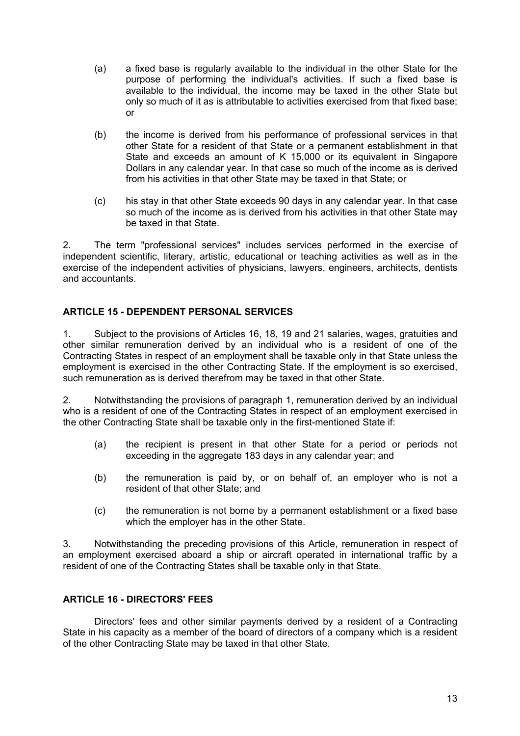- (a) a fixed base is regularly available to the individual in the other State for the purpose of performing the individual's activities. If such a fixed base is available to the individual, the income may be taxed in the other State but only so much of it as is attributable to activities exercised from that fixed base; or
- (b) the income is derived from his performance of professional services in that other State for a resident of that State or a permanent establishment in that State and exceeds an amount of K 15,000 or its equivalent in Singapore Dollars in any calendar year. In that case so much of the income as is derived from his activities in that other State may be taxed in that State; or
- (c) his stay in that other State exceeds 90 days in any calendar year. In that case so much of the income as is derived from his activities in that other State may be taxed in that State.

2. The term "professional services" includes services performed in the exercise of independent scientific, literary, artistic, educational or teaching activities as well as in the exercise of the independent activities of physicians, lawyers, engineers, architects, dentists and accountants.

## **ARTICLE 15 - DEPENDENT PERSONAL SERVICES**

1. Subject to the provisions of Articles 16, 18, 19 and 21 salaries, wages, gratuities and other similar remuneration derived by an individual who is a resident of one of the Contracting States in respect of an employment shall be taxable only in that State unless the employment is exercised in the other Contracting State. If the employment is so exercised, such remuneration as is derived therefrom may be taxed in that other State.

2. Notwithstanding the provisions of paragraph 1, remuneration derived by an individual who is a resident of one of the Contracting States in respect of an employment exercised in the other Contracting State shall be taxable only in the first-mentioned State if:

- (a) the recipient is present in that other State for a period or periods not exceeding in the aggregate 183 days in any calendar year; and
- (b) the remuneration is paid by, or on behalf of, an employer who is not a resident of that other State; and
- (c) the remuneration is not borne by a permanent establishment or a fixed base which the employer has in the other State.

3. Notwithstanding the preceding provisions of this Article, remuneration in respect of an employment exercised aboard a ship or aircraft operated in international traffic by a resident of one of the Contracting States shall be taxable only in that State.

### **ARTICLE 16 - DIRECTORS' FEES**

Directors' fees and other similar payments derived by a resident of a Contracting State in his capacity as a member of the board of directors of a company which is a resident of the other Contracting State may be taxed in that other State.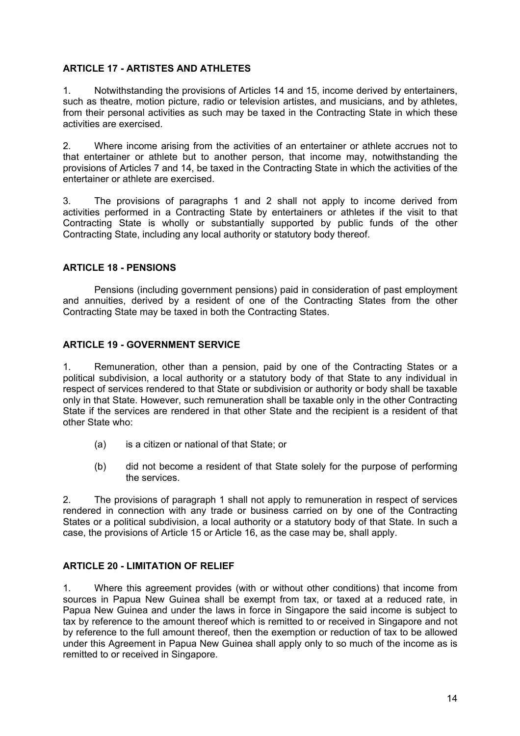### **ARTICLE 17 - ARTISTES AND ATHLETES**

1. Notwithstanding the provisions of Articles 14 and 15, income derived by entertainers, such as theatre, motion picture, radio or television artistes, and musicians, and by athletes, from their personal activities as such may be taxed in the Contracting State in which these activities are exercised.

2. Where income arising from the activities of an entertainer or athlete accrues not to that entertainer or athlete but to another person, that income may, notwithstanding the provisions of Articles 7 and 14, be taxed in the Contracting State in which the activities of the entertainer or athlete are exercised.

3. The provisions of paragraphs 1 and 2 shall not apply to income derived from activities performed in a Contracting State by entertainers or athletes if the visit to that Contracting State is wholly or substantially supported by public funds of the other Contracting State, including any local authority or statutory body thereof.

### **ARTICLE 18 - PENSIONS**

Pensions (including government pensions) paid in consideration of past employment and annuities, derived by a resident of one of the Contracting States from the other Contracting State may be taxed in both the Contracting States.

### **ARTICLE 19 - GOVERNMENT SERVICE**

1. Remuneration, other than a pension, paid by one of the Contracting States or a political subdivision, a local authority or a statutory body of that State to any individual in respect of services rendered to that State or subdivision or authority or body shall be taxable only in that State. However, such remuneration shall be taxable only in the other Contracting State if the services are rendered in that other State and the recipient is a resident of that other State who:

- (a) is a citizen or national of that State; or
- (b) did not become a resident of that State solely for the purpose of performing the services.

2. The provisions of paragraph 1 shall not apply to remuneration in respect of services rendered in connection with any trade or business carried on by one of the Contracting States or a political subdivision, a local authority or a statutory body of that State. In such a case, the provisions of Article 15 or Article 16, as the case may be, shall apply.

### **ARTICLE 20 - LIMITATION OF RELIEF**

1. Where this agreement provides (with or without other conditions) that income from sources in Papua New Guinea shall be exempt from tax, or taxed at a reduced rate, in Papua New Guinea and under the laws in force in Singapore the said income is subject to tax by reference to the amount thereof which is remitted to or received in Singapore and not by reference to the full amount thereof, then the exemption or reduction of tax to be allowed under this Agreement in Papua New Guinea shall apply only to so much of the income as is remitted to or received in Singapore.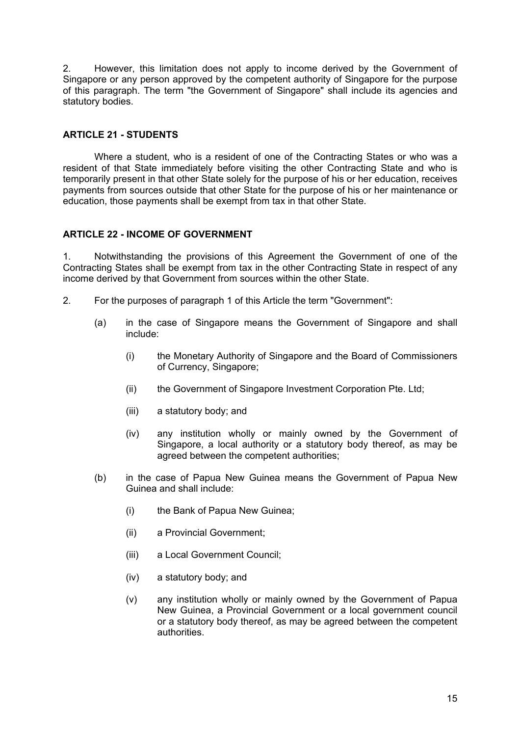2. However, this limitation does not apply to income derived by the Government of Singapore or any person approved by the competent authority of Singapore for the purpose of this paragraph. The term "the Government of Singapore" shall include its agencies and statutory bodies.

### **ARTICLE 21 - STUDENTS**

Where a student, who is a resident of one of the Contracting States or who was a resident of that State immediately before visiting the other Contracting State and who is temporarily present in that other State solely for the purpose of his or her education, receives payments from sources outside that other State for the purpose of his or her maintenance or education, those payments shall be exempt from tax in that other State.

### **ARTICLE 22 - INCOME OF GOVERNMENT**

1. Notwithstanding the provisions of this Agreement the Government of one of the Contracting States shall be exempt from tax in the other Contracting State in respect of any income derived by that Government from sources within the other State.

- 2. For the purposes of paragraph 1 of this Article the term "Government":
	- (a) in the case of Singapore means the Government of Singapore and shall include:
		- (i) the Monetary Authority of Singapore and the Board of Commissioners of Currency, Singapore;
		- (ii) the Government of Singapore Investment Corporation Pte. Ltd;
		- (iii) a statutory body; and
		- (iv) any institution wholly or mainly owned by the Government of Singapore, a local authority or a statutory body thereof, as may be agreed between the competent authorities;
	- (b) in the case of Papua New Guinea means the Government of Papua New Guinea and shall include:
		- (i) the Bank of Papua New Guinea;
		- (ii) a Provincial Government;
		- (iii) a Local Government Council;
		- (iv) a statutory body; and
		- (v) any institution wholly or mainly owned by the Government of Papua New Guinea, a Provincial Government or a local government council or a statutory body thereof, as may be agreed between the competent authorities.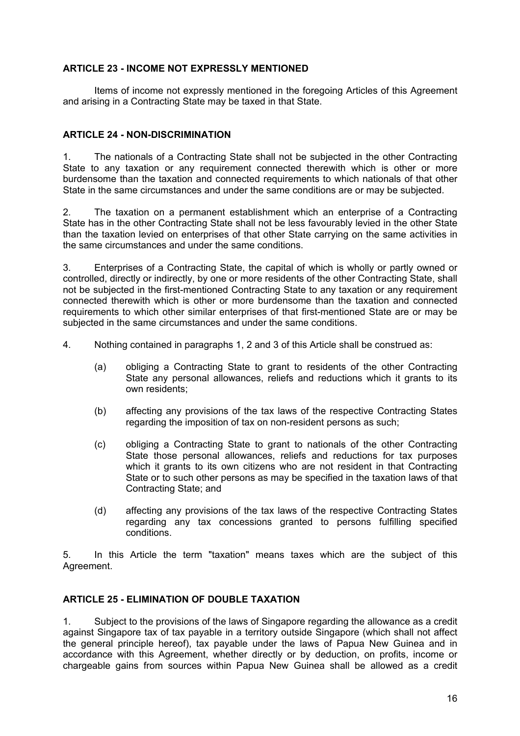### **ARTICLE 23 - INCOME NOT EXPRESSLY MENTIONED**

Items of income not expressly mentioned in the foregoing Articles of this Agreement and arising in a Contracting State may be taxed in that State.

### **ARTICLE 24 - NON-DISCRIMINATION**

1. The nationals of a Contracting State shall not be subjected in the other Contracting State to any taxation or any requirement connected therewith which is other or more burdensome than the taxation and connected requirements to which nationals of that other State in the same circumstances and under the same conditions are or may be subjected.

2. The taxation on a permanent establishment which an enterprise of a Contracting State has in the other Contracting State shall not be less favourably levied in the other State than the taxation levied on enterprises of that other State carrying on the same activities in the same circumstances and under the same conditions.

3. Enterprises of a Contracting State, the capital of which is wholly or partly owned or controlled, directly or indirectly, by one or more residents of the other Contracting State, shall not be subjected in the first-mentioned Contracting State to any taxation or any requirement connected therewith which is other or more burdensome than the taxation and connected requirements to which other similar enterprises of that first-mentioned State are or may be subjected in the same circumstances and under the same conditions.

4. Nothing contained in paragraphs 1, 2 and 3 of this Article shall be construed as:

- (a) obliging a Contracting State to grant to residents of the other Contracting State any personal allowances, reliefs and reductions which it grants to its own residents;
- (b) affecting any provisions of the tax laws of the respective Contracting States regarding the imposition of tax on non-resident persons as such;
- (c) obliging a Contracting State to grant to nationals of the other Contracting State those personal allowances, reliefs and reductions for tax purposes which it grants to its own citizens who are not resident in that Contracting State or to such other persons as may be specified in the taxation laws of that Contracting State; and
- (d) affecting any provisions of the tax laws of the respective Contracting States regarding any tax concessions granted to persons fulfilling specified conditions.

5. In this Article the term "taxation" means taxes which are the subject of this Agreement.

## **ARTICLE 25 - ELIMINATION OF DOUBLE TAXATION**

1. Subject to the provisions of the laws of Singapore regarding the allowance as a credit against Singapore tax of tax payable in a territory outside Singapore (which shall not affect the general principle hereof), tax payable under the laws of Papua New Guinea and in accordance with this Agreement, whether directly or by deduction, on profits, income or chargeable gains from sources within Papua New Guinea shall be allowed as a credit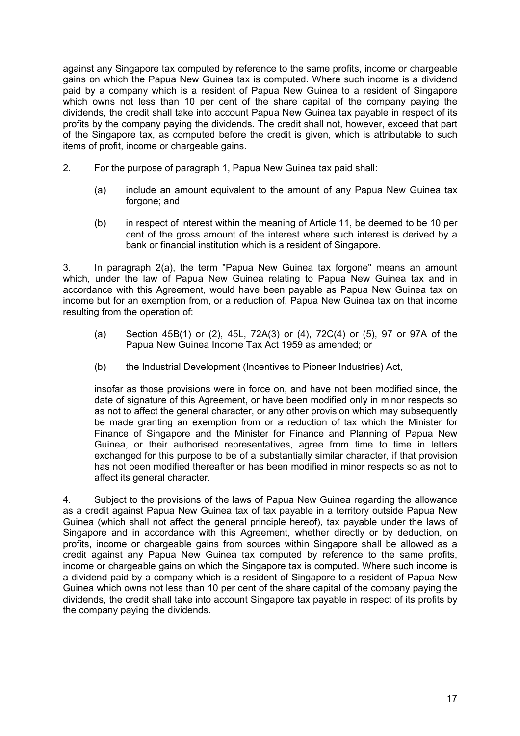against any Singapore tax computed by reference to the same profits, income or chargeable gains on which the Papua New Guinea tax is computed. Where such income is a dividend paid by a company which is a resident of Papua New Guinea to a resident of Singapore which owns not less than 10 per cent of the share capital of the company paying the dividends, the credit shall take into account Papua New Guinea tax payable in respect of its profits by the company paying the dividends. The credit shall not, however, exceed that part of the Singapore tax, as computed before the credit is given, which is attributable to such items of profit, income or chargeable gains.

- 2. For the purpose of paragraph 1, Papua New Guinea tax paid shall:
	- (a) include an amount equivalent to the amount of any Papua New Guinea tax forgone; and
	- (b) in respect of interest within the meaning of Article 11, be deemed to be 10 per cent of the gross amount of the interest where such interest is derived by a bank or financial institution which is a resident of Singapore.

3. In paragraph 2(a), the term "Papua New Guinea tax forgone" means an amount which, under the law of Papua New Guinea relating to Papua New Guinea tax and in accordance with this Agreement, would have been payable as Papua New Guinea tax on income but for an exemption from, or a reduction of, Papua New Guinea tax on that income resulting from the operation of:

- (a) Section 45B(1) or (2), 45L, 72A(3) or (4), 72C(4) or (5), 97 or 97A of the Papua New Guinea Income Tax Act 1959 as amended; or
- (b) the Industrial Development (Incentives to Pioneer Industries) Act,

insofar as those provisions were in force on, and have not been modified since, the date of signature of this Agreement, or have been modified only in minor respects so as not to affect the general character, or any other provision which may subsequently be made granting an exemption from or a reduction of tax which the Minister for Finance of Singapore and the Minister for Finance and Planning of Papua New Guinea, or their authorised representatives, agree from time to time in letters exchanged for this purpose to be of a substantially similar character, if that provision has not been modified thereafter or has been modified in minor respects so as not to affect its general character.

4. Subject to the provisions of the laws of Papua New Guinea regarding the allowance as a credit against Papua New Guinea tax of tax payable in a territory outside Papua New Guinea (which shall not affect the general principle hereof), tax payable under the laws of Singapore and in accordance with this Agreement, whether directly or by deduction, on profits, income or chargeable gains from sources within Singapore shall be allowed as a credit against any Papua New Guinea tax computed by reference to the same profits, income or chargeable gains on which the Singapore tax is computed. Where such income is a dividend paid by a company which is a resident of Singapore to a resident of Papua New Guinea which owns not less than 10 per cent of the share capital of the company paying the dividends, the credit shall take into account Singapore tax payable in respect of its profits by the company paying the dividends.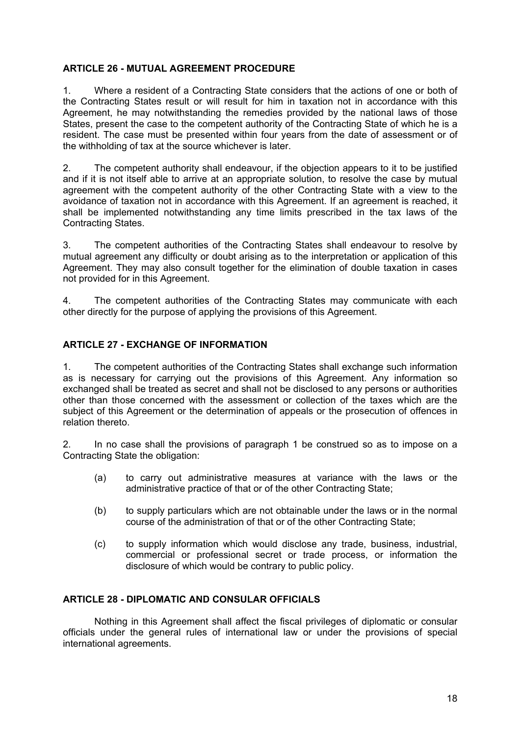### **ARTICLE 26 - MUTUAL AGREEMENT PROCEDURE**

1. Where a resident of a Contracting State considers that the actions of one or both of the Contracting States result or will result for him in taxation not in accordance with this Agreement, he may notwithstanding the remedies provided by the national laws of those States, present the case to the competent authority of the Contracting State of which he is a resident. The case must be presented within four years from the date of assessment or of the withholding of tax at the source whichever is later.

2. The competent authority shall endeavour, if the objection appears to it to be justified and if it is not itself able to arrive at an appropriate solution, to resolve the case by mutual agreement with the competent authority of the other Contracting State with a view to the avoidance of taxation not in accordance with this Agreement. If an agreement is reached, it shall be implemented notwithstanding any time limits prescribed in the tax laws of the Contracting States.

3. The competent authorities of the Contracting States shall endeavour to resolve by mutual agreement any difficulty or doubt arising as to the interpretation or application of this Agreement. They may also consult together for the elimination of double taxation in cases not provided for in this Agreement.

4. The competent authorities of the Contracting States may communicate with each other directly for the purpose of applying the provisions of this Agreement.

### **ARTICLE 27 - EXCHANGE OF INFORMATION**

1. The competent authorities of the Contracting States shall exchange such information as is necessary for carrying out the provisions of this Agreement. Any information so exchanged shall be treated as secret and shall not be disclosed to any persons or authorities other than those concerned with the assessment or collection of the taxes which are the subject of this Agreement or the determination of appeals or the prosecution of offences in relation thereto.

2. In no case shall the provisions of paragraph 1 be construed so as to impose on a Contracting State the obligation:

- (a) to carry out administrative measures at variance with the laws or the administrative practice of that or of the other Contracting State;
- (b) to supply particulars which are not obtainable under the laws or in the normal course of the administration of that or of the other Contracting State;
- (c) to supply information which would disclose any trade, business, industrial, commercial or professional secret or trade process, or information the disclosure of which would be contrary to public policy.

### **ARTICLE 28 - DIPLOMATIC AND CONSULAR OFFICIALS**

Nothing in this Agreement shall affect the fiscal privileges of diplomatic or consular officials under the general rules of international law or under the provisions of special international agreements.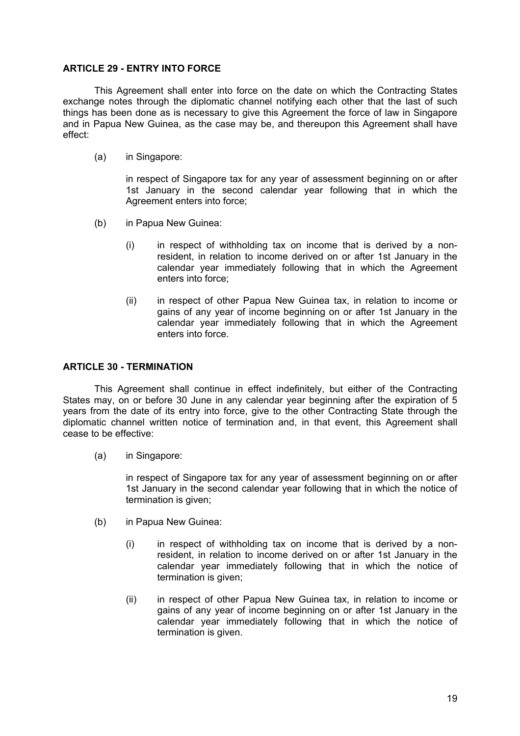#### **ARTICLE 29 - ENTRY INTO FORCE**

This Agreement shall enter into force on the date on which the Contracting States exchange notes through the diplomatic channel notifying each other that the last of such things has been done as is necessary to give this Agreement the force of law in Singapore and in Papua New Guinea, as the case may be, and thereupon this Agreement shall have effect:

(a) in Singapore:

in respect of Singapore tax for any year of assessment beginning on or after 1st January in the second calendar year following that in which the Agreement enters into force:

- (b) in Papua New Guinea:
	- (i) in respect of withholding tax on income that is derived by a nonresident, in relation to income derived on or after 1st January in the calendar year immediately following that in which the Agreement enters into force;
	- (ii) in respect of other Papua New Guinea tax, in relation to income or gains of any year of income beginning on or after 1st January in the calendar year immediately following that in which the Agreement enters into force.

#### **ARTICLE 30 - TERMINATION**

This Agreement shall continue in effect indefinitely, but either of the Contracting States may, on or before 30 June in any calendar year beginning after the expiration of 5 years from the date of its entry into force, give to the other Contracting State through the diplomatic channel written notice of termination and, in that event, this Agreement shall cease to be effective:

(a) in Singapore:

in respect of Singapore tax for any year of assessment beginning on or after 1st January in the second calendar year following that in which the notice of termination is given;

- (b) in Papua New Guinea:
	- (i) in respect of withholding tax on income that is derived by a nonresident, in relation to income derived on or after 1st January in the calendar year immediately following that in which the notice of termination is given;
	- (ii) in respect of other Papua New Guinea tax, in relation to income or gains of any year of income beginning on or after 1st January in the calendar year immediately following that in which the notice of termination is given.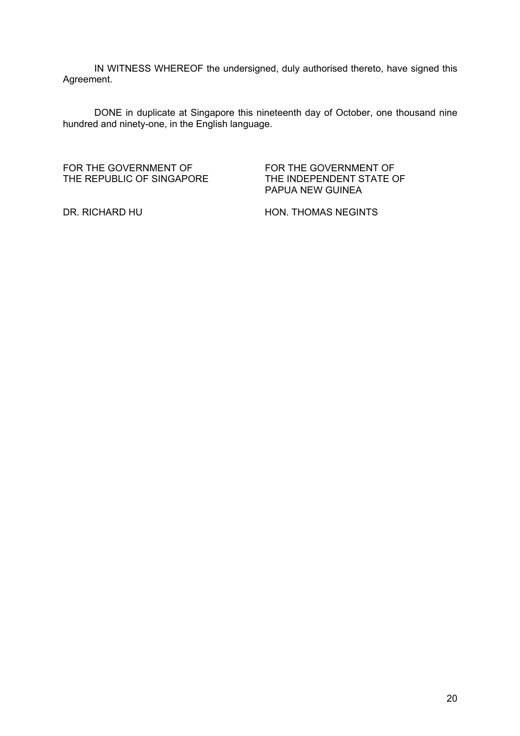IN WITNESS WHEREOF the undersigned, duly authorised thereto, have signed this Agreement.

DONE in duplicate at Singapore this nineteenth day of October, one thousand nine hundred and ninety-one, in the English language.

FOR THE GOVERNMENT OF THE REPUBLIC OF SINGAPORE FOR THE GOVERNMENT OF THE INDEPENDENT STATE OF PAPUA NEW GUINEA

DR. RICHARD HU HON. THOMAS NEGINTS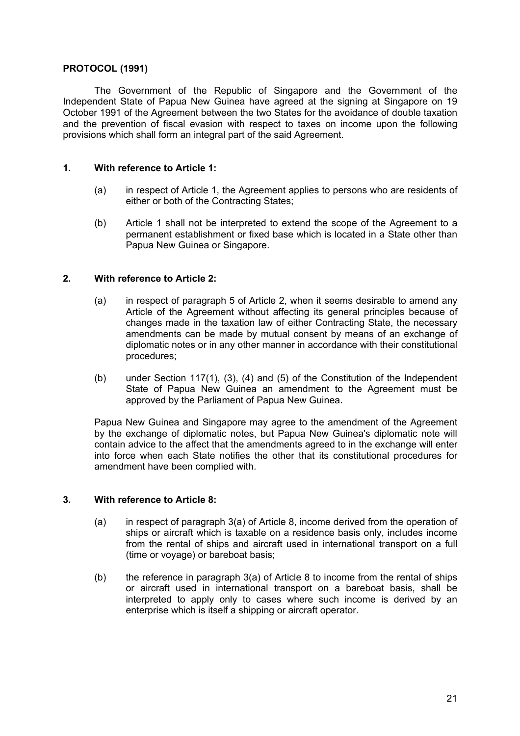#### **PROTOCOL (1991)**

The Government of the Republic of Singapore and the Government of the Independent State of Papua New Guinea have agreed at the signing at Singapore on 19 October 1991 of the Agreement between the two States for the avoidance of double taxation and the prevention of fiscal evasion with respect to taxes on income upon the following provisions which shall form an integral part of the said Agreement.

#### **1. With reference to Article 1:**

- (a) in respect of Article 1, the Agreement applies to persons who are residents of either or both of the Contracting States;
- (b) Article 1 shall not be interpreted to extend the scope of the Agreement to a permanent establishment or fixed base which is located in a State other than Papua New Guinea or Singapore.

#### **2. With reference to Article 2:**

- (a) in respect of paragraph 5 of Article 2, when it seems desirable to amend any Article of the Agreement without affecting its general principles because of changes made in the taxation law of either Contracting State, the necessary amendments can be made by mutual consent by means of an exchange of diplomatic notes or in any other manner in accordance with their constitutional procedures;
- (b) under Section 117(1), (3), (4) and (5) of the Constitution of the Independent State of Papua New Guinea an amendment to the Agreement must be approved by the Parliament of Papua New Guinea.

Papua New Guinea and Singapore may agree to the amendment of the Agreement by the exchange of diplomatic notes, but Papua New Guinea's diplomatic note will contain advice to the affect that the amendments agreed to in the exchange will enter into force when each State notifies the other that its constitutional procedures for amendment have been complied with.

#### **3. With reference to Article 8:**

- (a) in respect of paragraph 3(a) of Article 8, income derived from the operation of ships or aircraft which is taxable on a residence basis only, includes income from the rental of ships and aircraft used in international transport on a full (time or voyage) or bareboat basis;
- (b) the reference in paragraph  $3(a)$  of Article 8 to income from the rental of ships or aircraft used in international transport on a bareboat basis, shall be interpreted to apply only to cases where such income is derived by an enterprise which is itself a shipping or aircraft operator.